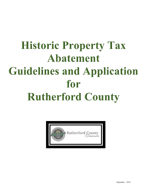# **Historic Property Tax Abatement Guidelines and Application** for **Rutherford County**

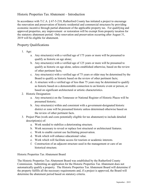#### Historic Properties Tax Abatement – Introduction

In accordance with T.C.A. § 67-5-218, Rutherford County has initiated a project to encourage the renovation and preservation of historic residential and commercial structures by providing economic incentive through partial abatement of the applicable property tax. For qualifying and approved properties, any improvement or restoration will be exempt from property taxation for the statutory abatement period. Only renovation and preservation occurring after August 31, 2019 will be eligible for abatement.

#### Property Qualifications

- 1. Age:
	- a. Any structure(s) with a verified age of 175 years or more will be presumed to qualify as historic on age alone;
	- b. Any structure(s) with a verified age of 125 years or more will be presumed to qualify as historic on age alone, unless established otherwise, based on the review of other pertinent facts;
	- c. Any structure(s) with a verified age of 75 years or older may be determined by the Board to qualify as historic based on the review of other pertinent facts;
	- d. A structure with a verified age of less than 75 years may be determined to qualify as historic based on a demonstrable connection to an historic event or person, or based on significant architectural or artistic characteristics.
- 2. Historic Designation:
	- a. Any structure(s) on the Tennessee or National Register of Historic Places will be presumed historic;
	- b. Any structure(s) within and consistent with a government-designated historic district or zone will be presumed historic unless determined otherwise based on the review of other pertinent facts.
- 3. Project Plan (work and costs potentially eligible for tax abatement) to include detailed description(s) of:
	- a. Work needed to stabilize a deteriorating structure.
	- b. Work necessary to reveal or replace lost structural or architectural features.
	- c. Work to enable current use facilitating preservation.
	- d. Work which will enhance educational value.
	- e. Work which will facilitate access for tourism or academic interests.
	- f. Construction of an adjacent structure used in the management or care of an historical structure.

Historic Properties Tax Abatement Board

The Historic Properties Tax Abatement Board was established by the Rutherford County Commission. Submitting an application for the Historic Properties Tax Abatement does not automatically qualify a property. The Historic Properties Tax Abatement Board will determine if the property fulfills all the necessary requirements and, if a project is approved, the Board will determine the abatement period based on statutory criteria.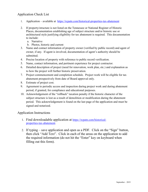### Application Check List

- 1. Application available at [https://rcpatn.com/historical-properties-tax-abatement](https://rcpatn.com/historical-properties-tax-abatement.html)
- 2. If property/structure is not listed on the Tennessee or National Register of Historic Places, documentation establishing age of subject structure and/or historic use or architectural style justifying eligibility for tax abatement is required. This documentation to include:
	- a. Narrative
	- b. Photos, historic and current
- 3. Name and contact information of property owner (verified by public record) and agent of owner, if any. If agent is involved, documentation of agent's authority should be submitted.
- 4. Precise location of property with reference to public record verification.
- 5. Name, contact information, and pertinent experience for project contractor.
- 6. Detailed description of project (need for renovation, work plan, etc.) and explanation as to how the project will further historic preservation.
- 7. Project commencement and completion schedule. Project work will be eligible for tax abatement prospectively from date of Board approval only.
- 8. Estimate of project cost.
- 9. Agreement to periodic access and inspection during project work and during abatement period, if granted, for compliance and educational purposes.
- 10. Acknowledgement of the "rollback" taxation penalty if the historic character of the subject structure is lost as a result of demolition or modification during the abatement period. This acknowledgement is found on the last page of the application and must be signed and notarized.

#### Application Instructions

- 1. Find downloadable application at [https://rcpatn.com/historical](https://rcpatn.com/historical-properties-tax-abatement.html)[properties-tax-ab](https://rcpatn.com/historical-properties-tax-abatement.html)atement.
- 2. If typing save application and open as a PDF. Click on the "Sign" button, then click "Add Text". Click in each of the areas on the application to add the required information (do not hit the "Enter" key on keyboard when filling out this form).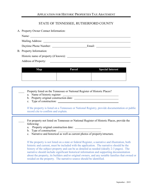## APPLICATION FOR HISTORIC PROPERTIES TAX ABATEMENT

# STATE OF TENNESSEE, RUTHERFORD COUNTY

A. Property Owner Contact Information:

| Name: $\frac{1}{\sqrt{1-\frac{1}{2}} \cdot \frac{1}{\sqrt{1-\frac{1}{2}} \cdot \frac{1}{\sqrt{1-\frac{1}{2}} \cdot \frac{1}{\sqrt{1-\frac{1}{2}} \cdot \frac{1}{\sqrt{1-\frac{1}{2}} \cdot \frac{1}{\sqrt{1-\frac{1}{2}} \cdot \frac{1}{\sqrt{1-\frac{1}{2}} \cdot \frac{1}{\sqrt{1-\frac{1}{2}} \cdot \frac{1}{\sqrt{1-\frac{1}{2}} \cdot \frac{1}{\sqrt{1-\frac{1}{2}} \cdot \frac{1}{\sqrt{1-\frac{1}{2}} \cdot \frac{1}{\sqrt{1-\frac{1}{2}}$ |  |
|---------------------------------------------------------------------------------------------------------------------------------------------------------------------------------------------------------------------------------------------------------------------------------------------------------------------------------------------------------------------------------------------------------------------------------------------------|--|
|                                                                                                                                                                                                                                                                                                                                                                                                                                                   |  |
| Daytime Phone Number:                                                                                                                                                                                                                                                                                                                                                                                                                             |  |
| B. Property Information:                                                                                                                                                                                                                                                                                                                                                                                                                          |  |
|                                                                                                                                                                                                                                                                                                                                                                                                                                                   |  |
| <b>Address of Property:</b>                                                                                                                                                                                                                                                                                                                                                                                                                       |  |

| Map | Parcel | <b>Special Interest</b> |
|-----|--------|-------------------------|
|     |        |                         |

| Property listed on the Tennessee or National Register of Historic Places?<br>b. Property original construction date: _______________<br>c. Type of construction:<br>If the property is listed on a Tennessee or National Registry, provide documentation or public<br>record cite to confirm and explain.                                                                                                                                                                                                                                                       |
|-----------------------------------------------------------------------------------------------------------------------------------------------------------------------------------------------------------------------------------------------------------------------------------------------------------------------------------------------------------------------------------------------------------------------------------------------------------------------------------------------------------------------------------------------------------------|
| For property not listed on Tennessee or National Register of Historic Places, provide the<br>following:<br>a. Property original construction date:<br>b. Type of construction:<br>c. Narrative and historical as well as current photos of property/structure.                                                                                                                                                                                                                                                                                                  |
| If the property is not listed on a state or federal Register, a narrative and illustration, both<br>historic and current, must be included with the application. The narrative should be the<br>history of the subject property and can be as detailed as needed (ideally 2-3 pages). The<br>narrative should include significant historical information and supporting documentation<br>about the property, its builders and/or original owners, and any notable families that owned or<br>resided on the property. The narrative source should be identified. |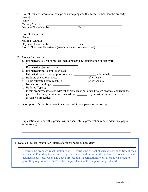C. Project Contact Information (the person who prepared this form if other than the property owner): Name:

| Mailing Address:      |       |  |
|-----------------------|-------|--|
| Daytime Phone Number: | Email |  |

D. Project Contractor:

| $110$   $\text{etc.}$ $\text{C.}$                               |        |
|-----------------------------------------------------------------|--------|
| Name:                                                           |        |
| Mailing Address:                                                |        |
| Daytime Phone Number:                                           | Email: |
| Proof of Pertinent Experience (attach licensing documentation): |        |

- E. Project Information:
	- a. Estimated total cost of project (including any new construction or site work):  $\mathbb{S}^-$
	- b. Estimated project start date:
	- c. Estimated project completion date:
	- d. Estimated square footage prior to rehab: after rehab:
	- e. Building use before rehab: after rehab:
	- f. Value estimate before rehab: \$
	- g. Number of Buildings:
	- h. Building Type(s):

i. Is this property associated with other projects or buildings through physical connections, parcel or lot lines, or common ownership? If yes, list the addresses of the associated properties:

- F. Description of need for renovation (attach additional pages as necessary):
- G. Explanation as to how this project will further historic preservation (attach additional pages as necessary):

H. Detailed Project Description (attach additional pages as necessary):

Describe the proposed rehabilitation work. Describe the current physical/visual condition of each architectural/building feature and the planned work and impact to the feature. Be as specific and detailed as possible. Copy and attach project plan, specifications, work breakdown structure, permitting requirements, and/or other project documents to support scope of work.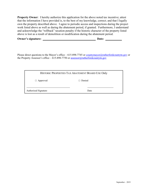**Property Owner:** I hereby authorize this application for the above noted tax incentive; attest that the information I have provided is, to the best of my knowledge, correct; and that I legally own the property described above. I agree to periodic access and inspections during the project work listed above as well as during the abatement period, if granted. Furthermore, I understand and acknowledge the "rollback" taxation penalty if the historic character of the property listed above is lost as a result of demolition or modification during the abatement period.

| Owner's signature: |  | Date: |  |
|--------------------|--|-------|--|
|--------------------|--|-------|--|

Please direct questions to the Mayor's office – 615-898-7745 or [countymayor@rutherfordcountytn.gov](mailto:countymayor@rutherfordcountytn.gov) or the Property Assessor's office – 615-898-7750 or  $\frac{assessor(@rutherfordcountvtn.gov)}{arg(@rationalitytn.gov)}$ 

|                      | HISTORIC PROPERTIES TAX ABATEMENT BOARD USE Only |
|----------------------|--------------------------------------------------|
| $\Box$ Approved      | $\Box$ Denied                                    |
| Authorized Signature | Date                                             |